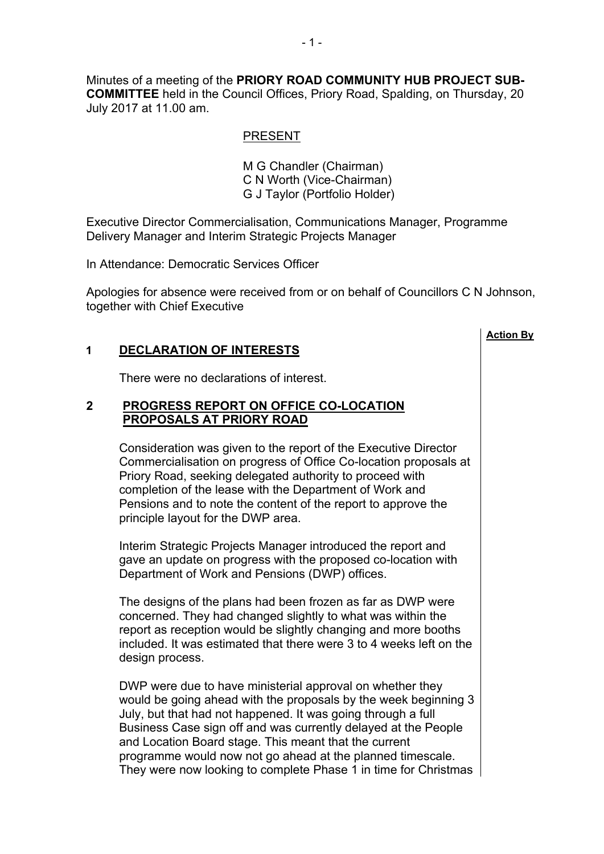Minutes of a meeting of the **PRIORY ROAD COMMUNITY HUB PROJECT SUB-COMMITTEE** held in the Council Offices, Priory Road, Spalding, on Thursday, 20 July 2017 at 11.00 am.

## PRESENT

M G Chandler (Chairman) C N Worth (Vice-Chairman) G J Taylor (Portfolio Holder)

Executive Director Commercialisation, Communications Manager, Programme Delivery Manager and Interim Strategic Projects Manager

In Attendance: Democratic Services Officer

Apologies for absence were received from or on behalf of Councillors C N Johnson, together with Chief Executive

**Action By**

# **1 DECLARATION OF INTERESTS**

There were no declarations of interest.

## **2 PROGRESS REPORT ON OFFICE CO-LOCATION PROPOSALS AT PRIORY ROAD**

Consideration was given to the report of the Executive Director Commercialisation on progress of Office Co-location proposals at Priory Road, seeking delegated authority to proceed with completion of the lease with the Department of Work and Pensions and to note the content of the report to approve the principle layout for the DWP area.

Interim Strategic Projects Manager introduced the report and gave an update on progress with the proposed co-location with Department of Work and Pensions (DWP) offices.

The designs of the plans had been frozen as far as DWP were concerned. They had changed slightly to what was within the report as reception would be slightly changing and more booths included. It was estimated that there were 3 to 4 weeks left on the design process.

DWP were due to have ministerial approval on whether they would be going ahead with the proposals by the week beginning 3 July, but that had not happened. It was going through a full Business Case sign off and was currently delayed at the People and Location Board stage. This meant that the current programme would now not go ahead at the planned timescale. They were now looking to complete Phase 1 in time for Christmas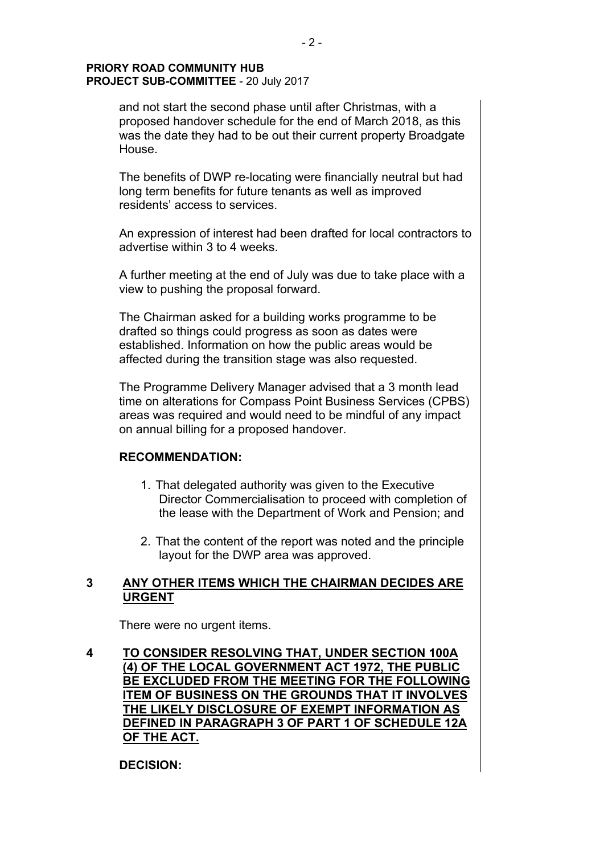and not start the second phase until after Christmas, with a proposed handover schedule for the end of March 2018, as this was the date they had to be out their current property Broadgate House.

The benefits of DWP re-locating were financially neutral but had long term benefits for future tenants as well as improved residents' access to services.

An expression of interest had been drafted for local contractors to advertise within 3 to 4 weeks.

A further meeting at the end of July was due to take place with a view to pushing the proposal forward.

The Chairman asked for a building works programme to be drafted so things could progress as soon as dates were established. Information on how the public areas would be affected during the transition stage was also requested.

The Programme Delivery Manager advised that a 3 month lead time on alterations for Compass Point Business Services (CPBS) areas was required and would need to be mindful of any impact on annual billing for a proposed handover.

### **RECOMMENDATION:**

- 1. That delegated authority was given to the Executive Director Commercialisation to proceed with completion of the lease with the Department of Work and Pension; and
- 2. That the content of the report was noted and the principle layout for the DWP area was approved.

# **3 ANY OTHER ITEMS WHICH THE CHAIRMAN DECIDES ARE URGENT**

There were no urgent items.

**4 TO CONSIDER RESOLVING THAT, UNDER SECTION 100A (4) OF THE LOCAL GOVERNMENT ACT 1972, THE PUBLIC BE EXCLUDED FROM THE MEETING FOR THE FOLLOWING ITEM OF BUSINESS ON THE GROUNDS THAT IT INVOLVES THE LIKELY DISCLOSURE OF EXEMPT INFORMATION AS DEFINED IN PARAGRAPH 3 OF PART 1 OF SCHEDULE 12A OF THE ACT.**

**DECISION:**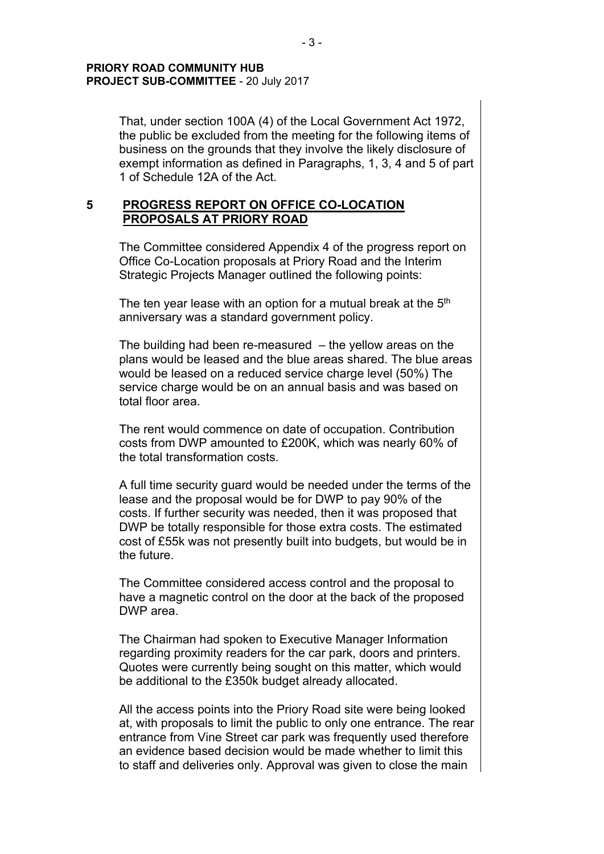That, under section 100A (4) of the Local Government Act 1972, the public be excluded from the meeting for the following items of business on the grounds that they involve the likely disclosure of exempt information as defined in Paragraphs, 1, 3, 4 and 5 of part 1 of Schedule 12A of the Act.

# **5 PROGRESS REPORT ON OFFICE CO-LOCATION PROPOSALS AT PRIORY ROAD**

The Committee considered Appendix 4 of the progress report on Office Co-Location proposals at Priory Road and the Interim Strategic Projects Manager outlined the following points:

The ten year lease with an option for a mutual break at the  $5<sup>th</sup>$ anniversary was a standard government policy.

The building had been re-measured – the yellow areas on the plans would be leased and the blue areas shared. The blue areas would be leased on a reduced service charge level (50%) The service charge would be on an annual basis and was based on total floor area.

The rent would commence on date of occupation. Contribution costs from DWP amounted to £200K, which was nearly 60% of the total transformation costs.

A full time security guard would be needed under the terms of the lease and the proposal would be for DWP to pay 90% of the costs. If further security was needed, then it was proposed that DWP be totally responsible for those extra costs. The estimated cost of £55k was not presently built into budgets, but would be in the future.

The Committee considered access control and the proposal to have a magnetic control on the door at the back of the proposed DWP area.

The Chairman had spoken to Executive Manager Information regarding proximity readers for the car park, doors and printers. Quotes were currently being sought on this matter, which would be additional to the £350k budget already allocated.

All the access points into the Priory Road site were being looked at, with proposals to limit the public to only one entrance. The rear entrance from Vine Street car park was frequently used therefore an evidence based decision would be made whether to limit this to staff and deliveries only. Approval was given to close the main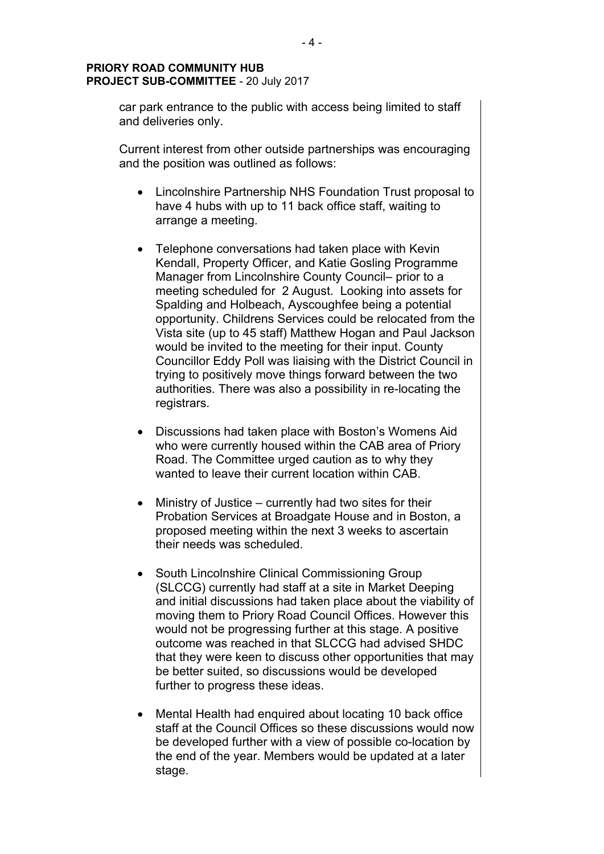car park entrance to the public with access being limited to staff and deliveries only.

Current interest from other outside partnerships was encouraging and the position was outlined as follows:

- Lincolnshire Partnership NHS Foundation Trust proposal to have 4 hubs with up to 11 back office staff, waiting to arrange a meeting.
- Telephone conversations had taken place with Kevin Kendall, Property Officer, and Katie Gosling Programme Manager from Lincolnshire County Council– prior to a meeting scheduled for 2 August. Looking into assets for Spalding and Holbeach, Ayscoughfee being a potential opportunity. Childrens Services could be relocated from the Vista site (up to 45 staff) Matthew Hogan and Paul Jackson would be invited to the meeting for their input. County Councillor Eddy Poll was liaising with the District Council in trying to positively move things forward between the two authorities. There was also a possibility in re-locating the registrars.
- Discussions had taken place with Boston's Womens Aid who were currently housed within the CAB area of Priory Road. The Committee urged caution as to why they wanted to leave their current location within CAB.
- Ministry of Justice currently had two sites for their Probation Services at Broadgate House and in Boston, a proposed meeting within the next 3 weeks to ascertain their needs was scheduled.
- South Lincolnshire Clinical Commissioning Group (SLCCG) currently had staff at a site in Market Deeping and initial discussions had taken place about the viability of moving them to Priory Road Council Offices. However this would not be progressing further at this stage. A positive outcome was reached in that SLCCG had advised SHDC that they were keen to discuss other opportunities that may be better suited, so discussions would be developed further to progress these ideas.
- Mental Health had enquired about locating 10 back office staff at the Council Offices so these discussions would now be developed further with a view of possible co-location by the end of the year. Members would be updated at a later stage.